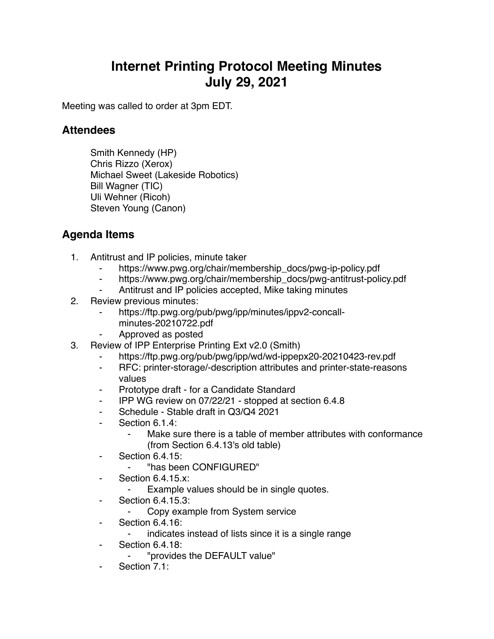## **Internet Printing Protocol Meeting Minutes July 29, 2021**

Meeting was called to order at 3pm EDT.

## **Attendees**

Smith Kennedy (HP) Chris Rizzo (Xerox) Michael Sweet (Lakeside Robotics) Bill Wagner (TIC) Uli Wehner (Ricoh) Steven Young (Canon)

## **Agenda Items**

- 1. Antitrust and IP policies, minute taker
	- https://www.pwg.org/chair/membership\_docs/pwg-ip-policy.pdf
	- ⁃ https://www.pwg.org/chair/membership\_docs/pwg-antitrust-policy.pdf
	- Antitrust and IP policies accepted, Mike taking minutes
- 2. Review previous minutes:
	- ⁃ https://ftp.pwg.org/pub/pwg/ipp/minutes/ippv2-concallminutes-20210722.pdf
	- ⁃ Approved as posted
- 3. Review of IPP Enterprise Printing Ext v2.0 (Smith)
	- https://ftp.pwg.org/pub/pwg/ipp/wd/wd-ippepx20-20210423-rev.pdf
	- ⁃ RFC: printer-storage/-description attributes and printer-state-reasons values
	- Prototype draft for a Candidate Standard
	- ⁃ IPP WG review on 07/22/21 stopped at section 6.4.8
	- ⁃ Schedule Stable draft in Q3/Q4 2021
	- ⁃ Section 6.1.4:
		- Make sure there is a table of member attributes with conformance (from Section 6.4.13's old table)
	- ⁃ Section 6.4.15:
		- ⁃ "has been CONFIGURED"
	- ⁃ Section 6.4.15.x:
		- Example values should be in single quotes.
	- ⁃ Section 6.4.15.3:
		- ⁃ Copy example from System service
	- ⁃ Section 6.4.16:
		- indicates instead of lists since it is a single range
	- **Section 6.4.18:** 
		- ⁃ "provides the DEFAULT value"
	- Section 7.1: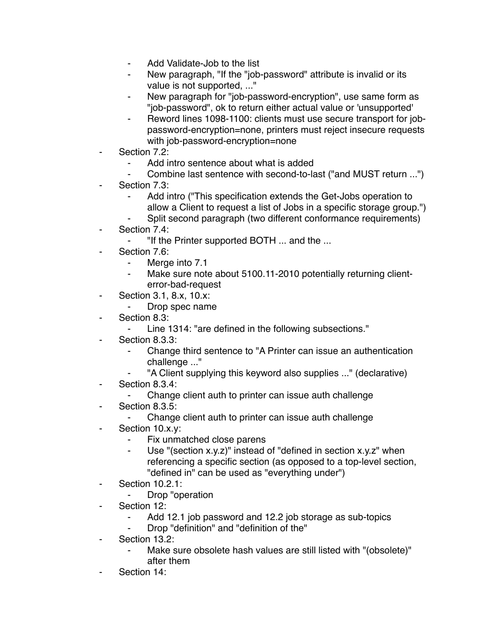- Add Validate-Job to the list
- New paragraph, "If the "job-password" attribute is invalid or its value is not supported, ..."
- New paragraph for "job-password-encryption", use same form as "job-password", ok to return either actual value or 'unsupported'
- Reword lines 1098-1100: clients must use secure transport for jobpassword-encryption=none, printers must reject insecure requests with job-password-encryption=none
- Section 7.2:
	- Add intro sentence about what is added
	- Combine last sentence with second-to-last ("and MUST return ...")
- Section 7.3:
	- Add intro ("This specification extends the Get-Jobs operation to allow a Client to request a list of Jobs in a specific storage group.")
	- Split second paragraph (two different conformance requirements)
- Section 7.4:
	- ⁃ "If the Printer supported BOTH ... and the ...
- Section 7.6:
	- ⁃ Merge into 7.1
	- ⁃ Make sure note about 5100.11-2010 potentially returning clienterror-bad-request
- ⁃ Section 3.1, 8.x, 10.x:
	- ⁃ Drop spec name
- Section 8.3:
	- ⁃ Line 1314: "are defined in the following subsections."
- Section 8.3.3:
	- ⁃ Change third sentence to "A Printer can issue an authentication challenge ..."
	- ⁃ "A Client supplying this keyword also supplies ..." (declarative)
- Section 8.3.4:
	- ⁃ Change client auth to printer can issue auth challenge
- ⁃ Section 8.3.5:
	- Change client auth to printer can issue auth challenge
- Section 10.x.y:
	- ⁃ Fix unmatched close parens
	- Use "(section  $x.y.z$ )" instead of "defined in section  $x.y.z'$  when referencing a specific section (as opposed to a top-level section, "defined in" can be used as "everything under")
- ⁃ Section 10.2.1:
	- ⁃ Drop "operation
- Section 12:
	- Add 12.1 job password and 12.2 job storage as sub-topics
	- Drop "definition" and "definition of the"
- Section 13.2:
	- Make sure obsolete hash values are still listed with "(obsolete)" after them
- Section 14: